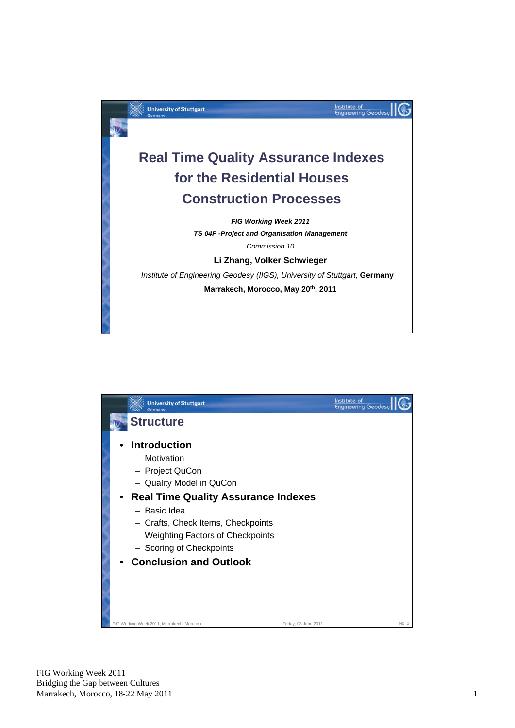

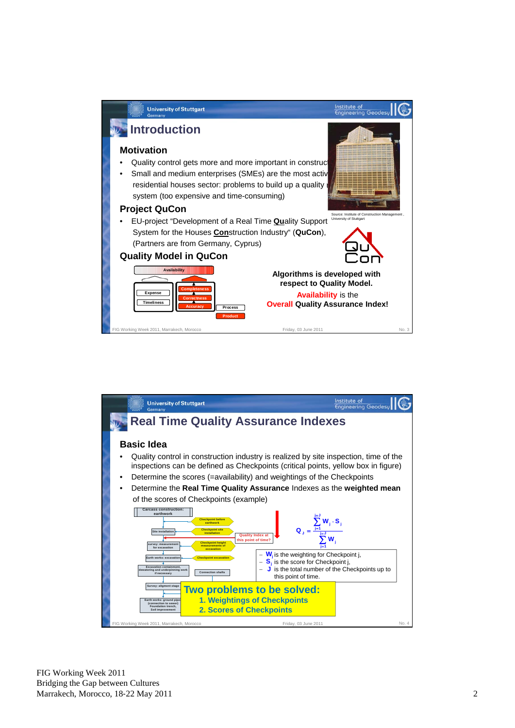

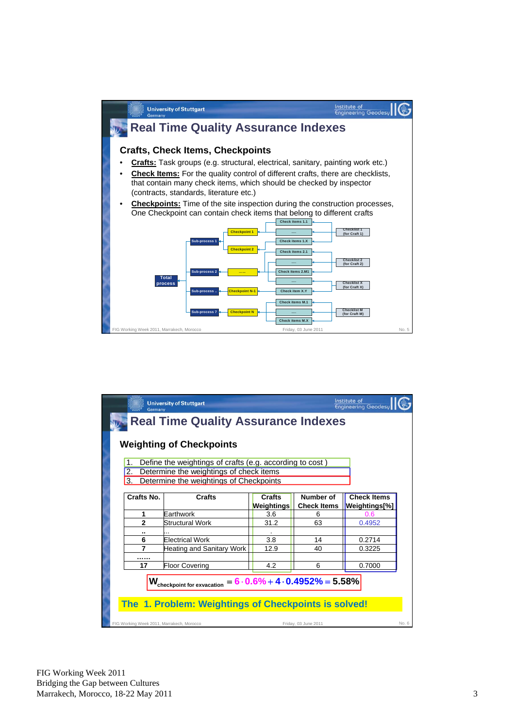

|                                                                                                                                              | Institute of<br><b>University of Stuttgart</b><br><b>Engineering Geodesu</b><br>Germany<br><b>Real Time Quality Assurance Indexes</b><br><b>Weighting of Checkpoints</b><br>Define the weightings of crafts (e.g. according to cost)<br>1.<br>Determine the weightings of check items<br>$\overline{2}$ .<br>Determine the weightings of Checkpoints<br>3. |                                           |                                    |                                 |                                     |  |  |  |  |
|----------------------------------------------------------------------------------------------------------------------------------------------|------------------------------------------------------------------------------------------------------------------------------------------------------------------------------------------------------------------------------------------------------------------------------------------------------------------------------------------------------------|-------------------------------------------|------------------------------------|---------------------------------|-------------------------------------|--|--|--|--|
|                                                                                                                                              | Crafts No.                                                                                                                                                                                                                                                                                                                                                 | Crafts                                    | <b>Crafts</b><br><b>Weightings</b> | Number of<br><b>Check Items</b> | <b>Check Items</b><br>Weightings[%] |  |  |  |  |
|                                                                                                                                              | 1                                                                                                                                                                                                                                                                                                                                                          | Farthwork                                 | 3.6                                | 6                               | 0.6                                 |  |  |  |  |
|                                                                                                                                              | $\mathbf{2}$                                                                                                                                                                                                                                                                                                                                               | <b>Structural Work</b>                    | 31.2                               | 63                              | 0.4952                              |  |  |  |  |
|                                                                                                                                              |                                                                                                                                                                                                                                                                                                                                                            |                                           |                                    |                                 |                                     |  |  |  |  |
|                                                                                                                                              | 6                                                                                                                                                                                                                                                                                                                                                          | <b>Electrical Work</b>                    | 3.8                                | 14                              | 0.2714                              |  |  |  |  |
|                                                                                                                                              | 7                                                                                                                                                                                                                                                                                                                                                          | <b>Heating and Sanitary Work</b>          | 12.9                               | 40                              | 0.3225                              |  |  |  |  |
|                                                                                                                                              |                                                                                                                                                                                                                                                                                                                                                            |                                           |                                    |                                 |                                     |  |  |  |  |
|                                                                                                                                              | 17                                                                                                                                                                                                                                                                                                                                                         | <b>Floor Covering</b>                     | 4.2                                | 6                               | 0.7000                              |  |  |  |  |
| $= 6.0.6\% + 4.0.4952\% = 5.58\%$<br>$\textbf{W}_{\text{checkpoint}}$ for exvacation<br>The 1. Problem: Weightings of Checkpoints is solved! |                                                                                                                                                                                                                                                                                                                                                            |                                           |                                    |                                 |                                     |  |  |  |  |
|                                                                                                                                              |                                                                                                                                                                                                                                                                                                                                                            | FIG Working Week 2011, Marrakech, Morocco |                                    | Friday, 03 June 2011            | No. 6                               |  |  |  |  |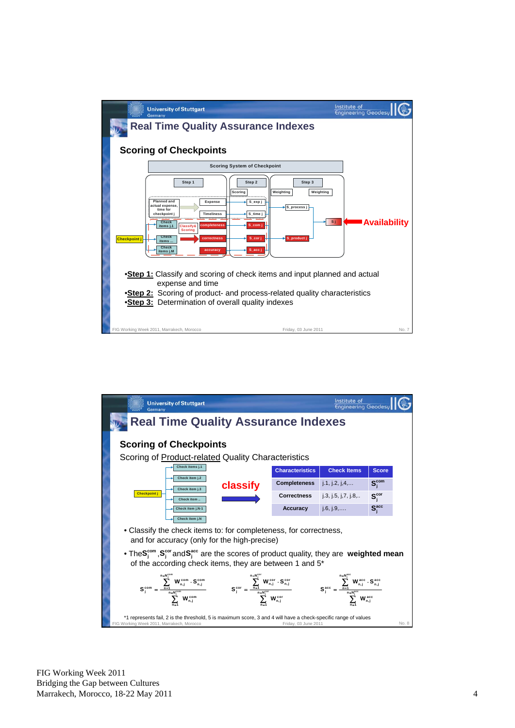

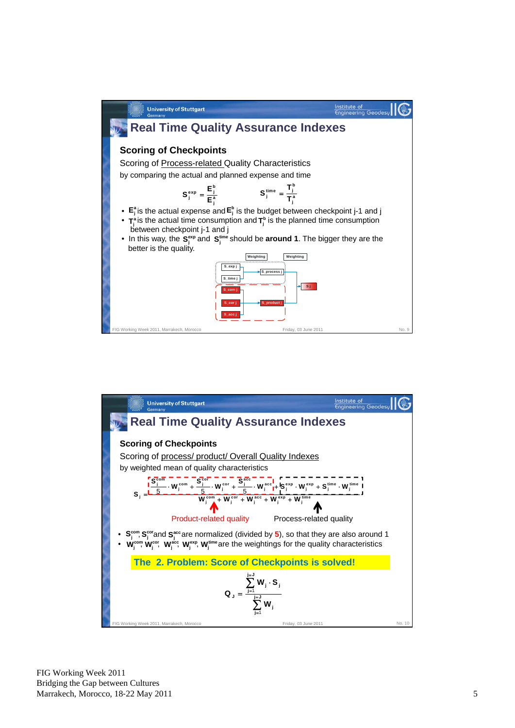

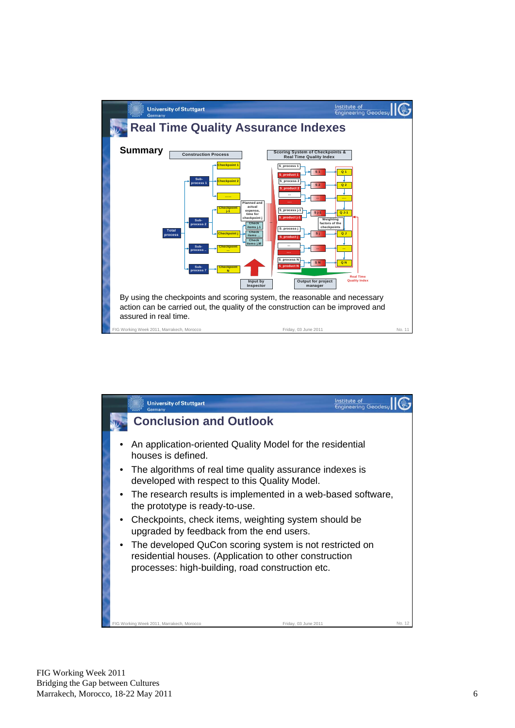

|                                                                                                                                                                       | <b>University of Stuttgart</b><br><b>German</b>                                                           | Institute of<br><b>Engineering Geodes</b> |        |  |  |  |  |  |
|-----------------------------------------------------------------------------------------------------------------------------------------------------------------------|-----------------------------------------------------------------------------------------------------------|-------------------------------------------|--------|--|--|--|--|--|
|                                                                                                                                                                       | <b>Conclusion and Outlook</b>                                                                             |                                           |        |  |  |  |  |  |
|                                                                                                                                                                       | An application-oriented Quality Model for the residential<br>houses is defined.                           |                                           |        |  |  |  |  |  |
|                                                                                                                                                                       | The algorithms of real time quality assurance indexes is<br>developed with respect to this Quality Model. |                                           |        |  |  |  |  |  |
|                                                                                                                                                                       | • The research results is implemented in a web-based software,<br>the prototype is ready-to-use.          |                                           |        |  |  |  |  |  |
|                                                                                                                                                                       | Checkpoints, check items, weighting system should be<br>upgraded by feedback from the end users.          |                                           |        |  |  |  |  |  |
| The developed QuCon scoring system is not restricted on<br>residential houses. (Application to other construction<br>processes: high-building, road construction etc. |                                                                                                           |                                           |        |  |  |  |  |  |
|                                                                                                                                                                       | FIG Working Week 2011, Marrakech, Morocco<br>Friday, 03 June 2011                                         |                                           | No. 12 |  |  |  |  |  |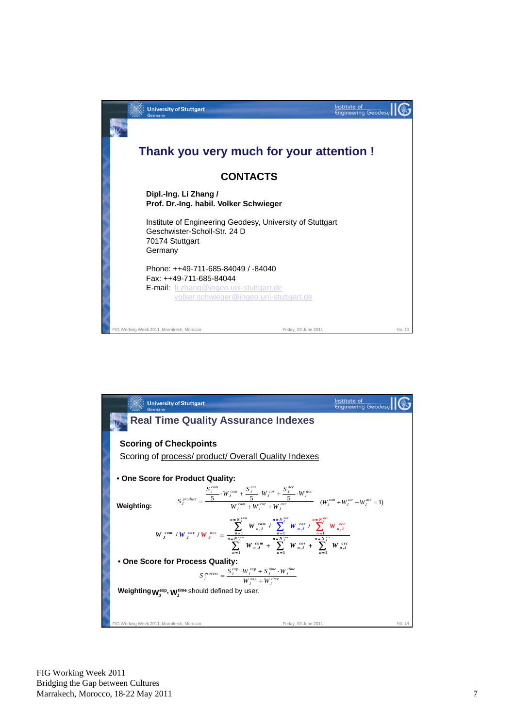